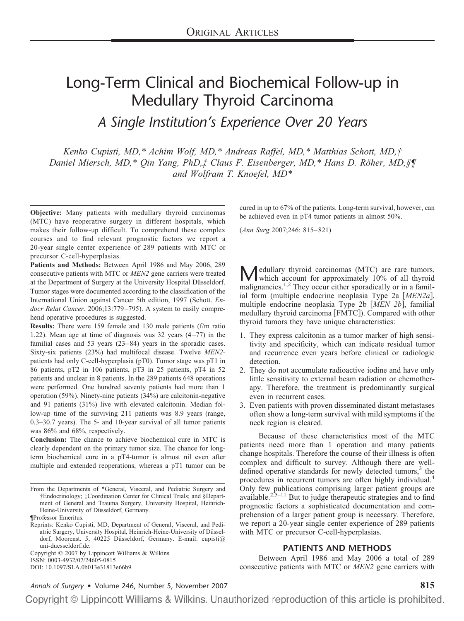# Long-Term Clinical and Biochemical Follow-up in Medullary Thyroid Carcinoma

*A Single Institution's Experience Over 20 Years*

*Kenko Cupisti, MD,\* Achim Wolf, MD,\* Andreas Raffel, MD,\* Matthias Schott, MD,† Daniel Miersch, MD,\* Qin Yang, PhD,‡ Claus F. Eisenberger, MD,\* Hans D. Röher, MD,§¶ and Wolfram T. Knoefel, MD\**

**Objective:** Many patients with medullary thyroid carcinomas (MTC) have reoperative surgery in different hospitals, which makes their follow-up difficult. To comprehend these complex courses and to find relevant prognostic factors we report a 20-year single center experience of 289 patients with MTC or precursor C-cell-hyperplasias.

**Patients and Methods:** Between April 1986 and May 2006, 289 consecutive patients with MTC or *MEN2* gene carriers were treated at the Department of Surgery at the University Hospital Düsseldorf. Tumor stages were documented according to the classification of the International Union against Cancer 5th edition, 1997 (Schott. *Endocr Relat Cancer*. 2006;13:779 –795). A system to easily comprehend operative procedures is suggested.

**Results:** There were 159 female and 130 male patients (f/m ratio 1.22). Mean age at time of diagnosis was  $32$  years  $(4-77)$  in the familial cases and 53 years (23–84) years in the sporadic cases. Sixty-six patients (23%) had multifocal disease. Twelve *MEN2* patients had only C-cell-hyperplasia (pT0). Tumor stage was pT1 in 86 patients, pT2 in 106 patients, pT3 in 25 patients, pT4 in 52 patients and unclear in 8 patients. In the 289 patients 648 operations were performed. One hundred seventy patients had more than 1 operation (59%). Ninety-nine patients (34%) are calcitonin-negative and 91 patients (31%) live with elevated calcitonin. Median follow-up time of the surviving 211 patients was 8.9 years (range, 0.3–30.7 years). The 5- and 10-year survival of all tumor patients was 86% and 68%, respectively.

**Conclusion:** The chance to achieve biochemical cure in MTC is clearly dependent on the primary tumor size. The chance for longterm biochemical cure in a pT4-tumor is almost nil even after multiple and extended reoperations, whereas a pT1 tumor can be

From the Departments of \*General, Visceral, and Pediatric Surgery and †Endocrinology; ‡Coordination Center for Clinical Trials; and §Department of General and Trauma Surgery, University Hospital, Heinrich-Heine-University of Düsseldorf, Germany.

Copyright © 2007 by Lippincott Williams & Wilkins ISSN: 0003-4932/07/24605-0815

DOI: 10.1097/SLA.0b013e31813e66b9

cured in up to 67% of the patients. Long-term survival, however, can be achieved even in pT4 tumor patients in almost 50%.

(*Ann Surg* 2007;246: 815– 821)

**Medullary thyroid carcinomas (MTC) are rare tumors,**<br>which account for approximately 10% of all thyroid malignancies.<sup>1,2</sup> They occur either sporadically or in a familial form (multiple endocrine neoplasia Type 2a [MEN2a], multiple endocrine neoplasia Type 2b [MEN 2b], familial medullary thyroid carcinoma [FMTC]). Compared with other thyroid tumors they have unique characteristics:

- 1. They express calcitonin as a tumor marker of high sensitivity and specificity, which can indicate residual tumor and recurrence even years before clinical or radiologic detection.
- 2. They do not accumulate radioactive iodine and have only little sensitivity to external beam radiation or chemotherapy. Therefore, the treatment is predominantly surgical even in recurrent cases.
- 3. Even patients with proven disseminated distant metastases often show a long-term survival with mild symptoms if the neck region is cleared.

Because of these characteristics most of the MTC patients need more than 1 operation and many patients change hospitals. Therefore the course of their illness is often complex and difficult to survey. Although there are welldefined operative standards for newly detected tumors,<sup>3</sup> the procedures in recurrent tumors are often highly individual.<sup>4</sup> Only few publications comprising larger patient groups are available. $2.55-11$  But to judge therapeutic strategies and to find prognostic factors a sophisticated documentation and comprehension of a larger patient group is necessary. Therefore, we report a 20-year single center experience of 289 patients with MTC or precursor C-cell-hyperplasias.

#### **PATIENTS AND METHODS**

Between April 1986 and May 2006 a total of 289 consecutive patients with MTC or *MEN2* gene carriers with

*Annals of Surgery* • Volume 246, Number 5, November 2007 **815**

<sup>¶</sup>Professor Emeritus.

Reprints: Kenko Cupisti, MD, Department of General, Visceral, and Pediatric Surgery, University Hospital, Heinrich-Heine-University of Düsseldorf, Moorenst. 5, 40225 Düsseldorf, Germany. E-mail: cupisti@ uni-duesseldorf.de.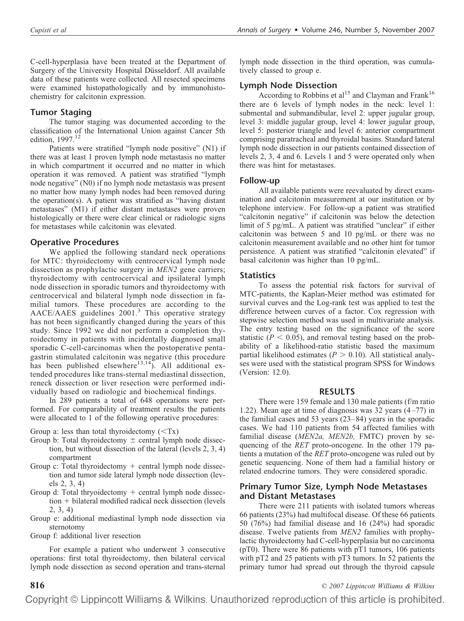C-cell-hyperplasia have been treated at the Department of Surgery of the University Hospital Düsseldorf. All available data of these patients were collected. All resected specimens were examined histopathologically and by immunohistochemistry for calcitonin expression.

### **Tumor Staging**

The tumor staging was documented according to the classification of the International Union against Cancer 5th edition, 1997.<sup>12</sup>

Patients were stratified "lymph node positive" (N1) if there was at least 1 proven lymph node metastasis no matter in which compartment it occurred and no matter in which operation it was removed. A patient was stratified "lymph node negative" (N0) if no lymph node metastasis was present no matter how many lymph nodes had been removed during the operation(s). A patient was stratified as "having distant metastases" (M1) if either distant metastases were proven histologically or there were clear clinical or radiologic signs for metastases while calcitonin was elevated.

### **Operative Procedures**

We applied the following standard neck operations for MTC: thyroidectomy with centrocervical lymph node dissection as prophylactic surgery in *MEN2* gene carriers; thyroidectomy with centrocervical and ipsilateral lymph node dissection in sporadic tumors and thyroidectomy with centrocervical and bilateral lymph node dissection in familial tumors. These procedures are according to the  $AACE/AAES$  guidelines  $2001<sup>3</sup>$ . This operative strategy has not been significantly changed during the years of this study. Since 1992 we did not perform a completion thyroidectomy in patients with incidentally diagnosed small sporadic C-cell-carcinomas when the postoperative pentagastrin stimulated calcitonin was negative (this procedure has been published elsewhere<sup>13,14</sup>). All additional extended procedures like trans-sternal mediastinal dissection, reneck dissection or liver resection were performed individually based on radiologic and biochemical findings.

In 289 patients a total of 648 operations were performed. For comparability of treatment results the patients were allocated to 1 of the following operative procedures:

Group a: less than total thyroidectomy  $(*Tx*)$ 

- Group b: Total thyroidectomy  $\pm$  central lymph node dissection, but without dissection of the lateral (levels 2, 3, 4) compartment
- Group  $c$ : Total thyroidectomy  $+$  central lymph node dissection and tumor side lateral lymph node dissection (levels 2, 3, 4)
- Group d: Total thryoidectomy  $+$  central lymph node dissec- $\text{tion} + \text{bilateral modified radical neck dissection (levels)}$ 2, 3, 4)
- Group e: additional mediastinal lymph node dissection via sternotomy
- Group f: additional liver resection

For example a patient who underwent 3 consecutive operations: first total thyroidectomy, then bilateral cervical lymph node dissection as second operation and trans-sternal

lymph node dissection in the third operation, was cumulatively classed to group e.

# **Lymph Node Dissection**

According to Robbins et al<sup>15</sup> and Clayman and Frank<sup>16</sup> there are 6 levels of lymph nodes in the neck: level 1: submental and submandibular, level 2: upper jugular group, level 3: middle jugular group, level 4: lower jugular group, level 5: posterior triangle and level 6: anterior compartment comprising paratracheal and thyroidal basins. Standard lateral lymph node dissection in our patients contained dissection of levels 2, 3, 4 and 6. Levels 1 and 5 were operated only when there was hint for metastases.

### **Follow-up**

All available patients were reevaluated by direct examination and calcitonin measurement at our institution or by telephone interview. For follow-up a patient was stratified "calcitonin negative" if calcitonin was below the detection limit of 5 pg/mL. A patient was stratified "unclear" if either calcitonin was between 5 and 10 pg/mL or there was no calcitonin measurement available and no other hint for tumor persistence. A patient was stratified "calcitonin elevated" if basal calcitonin was higher than 10 pg/mL.

### **Statistics**

To assess the potential risk factors for survival of MTC-patients, the Kaplan-Meier method was estimated for survival curves and the Log-rank test was applied to test the difference between curves of a factor. Cox regression with stepwise selection method was used in multivariate analysis. The entry testing based on the significance of the score statistic  $(P < 0.05)$ , and removal testing based on the probability of a likelihood-ratio statistic based the maximum partial likelihood estimates ( $P > 0.10$ ). All statistical analyses were used with the statistical program SPSS for Windows (Version: 12.0).

#### **RESULTS**

There were 159 female and 130 male patients (f/m ratio 1.22). Mean age at time of diagnosis was  $32$  years  $(4-77)$  in the familial cases and 53 years (23– 84) years in the sporadic cases. We had 110 patients from 54 affected families with familial disease (*MEN2a, MEN2b,* FMTC) proven by sequencing of the *RET* proto-oncogene. In the other 179 patients a mutation of the *RET* proto-oncogene was ruled out by genetic sequencing. None of them had a familial history or related endocrine tumors. They were considered sporadic.

## **Primary Tumor Size, Lymph Node Metastases and Distant Metastases**

There were 211 patients with isolated tumors whereas 66 patients (23%) had multifocal disease. Of these 66 patients 50 (76%) had familial disease and 16 (24%) had sporadic disease. Twelve patients from *MEN2* families with prophylactic thyroidectomy had C-cell-hyperplasia but no carcinoma (pT0). There were 86 patients with pT1 tumors, 106 patients with pT2 and 25 patients with pT3 tumors. In 52 patients the primary tumor had spread out through the thyroid capsule

**816** *© 2007 Lippincott Williams & Wilkins*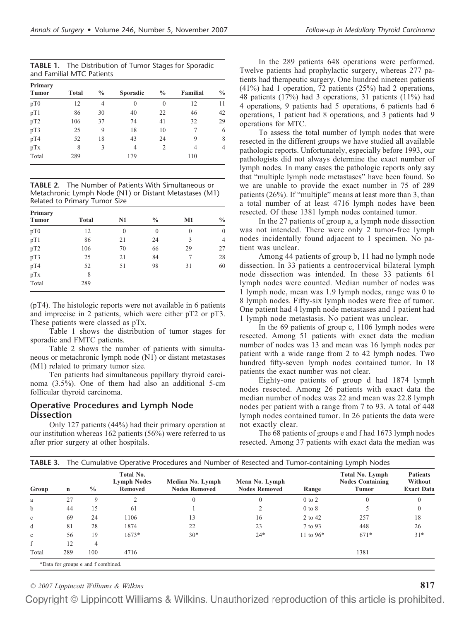| <b>TABLE 1.</b> The Distribution of Tumor Stages for Sporadic |  |  |
|---------------------------------------------------------------|--|--|
| and Familial MTC Patients                                     |  |  |

| Primary         |              |                |          |                |          |               |
|-----------------|--------------|----------------|----------|----------------|----------|---------------|
| <b>Tumor</b>    | <b>Total</b> | $\frac{0}{0}$  | Sporadic | $\frac{0}{0}$  | Familial | $\frac{0}{0}$ |
| pT0             | 12           | $\overline{4}$ | $\theta$ | $\theta$       | 12       | 11            |
| pT1             | 86           | 30             | 40       | 22             | 46       | 42            |
| pT <sub>2</sub> | 106          | 37             | 74       | 41             | 32       | 29            |
| pT3             | 25           | 9              | 18       | 10             | 7        | 6             |
| pT4             | 52           | 18             | 43       | 24             | 9        | 8             |
| pTx             | 8            | 3              | 4        | $\overline{c}$ | 4        | 4             |
| Total           | 289          |                | 179      |                | 110      |               |

**TABLE 2.** The Number of Patients With Simultaneous or Metachronic Lymph Node (N1) or Distant Metastases (M1) Related to Primary Tumor Size

| Primary         |       |          |                |              |               |
|-----------------|-------|----------|----------------|--------------|---------------|
| <b>Tumor</b>    | Total | N1       | $\frac{0}{0}$  | M1           | $\frac{0}{0}$ |
| pT0             | 12    | $\theta$ | $\overline{0}$ | $\mathbf{0}$ | $\theta$      |
| pT1             | 86    | 21       | 24             | 3            | 4             |
| pT <sub>2</sub> | 106   | 70       | 66             | 29           | 27            |
| pT3             | 25    | 21       | 84             | 7            | 28            |
| pT4             | 52    | 51       | 98             | 31           | 60            |
| pTx             | 8     |          |                |              |               |
| Total           | 289   |          |                |              |               |

(pT4). The histologic reports were not available in 6 patients and imprecise in 2 patients, which were either pT2 or pT3. These patients were classed as pTx.

Table 1 shows the distribution of tumor stages for sporadic and FMTC patients.

Table 2 shows the number of patients with simultaneous or metachronic lymph node (N1) or distant metastases (M1) related to primary tumor size.

Ten patients had simultaneous papillary thyroid carcinoma (3.5%). One of them had also an additional 5-cm follicular thyroid carcinoma.

### **Operative Procedures and Lymph Node Dissection**

Only 127 patients (44%) had their primary operation at our institution whereas 162 patients (56%) were referred to us after prior surgery at other hospitals.

In the 289 patients 648 operations were performed. Twelve patients had prophylactic surgery, whereas 277 patients had therapeutic surgery. One hundred nineteen patients (41%) had 1 operation, 72 patients (25%) had 2 operations, 48 patients (17%) had 3 operations, 31 patients (11%) had 4 operations, 9 patients had 5 operations, 6 patients had 6 operations, 1 patient had 8 operations, and 3 patients had 9 operations for MTC.

To assess the total number of lymph nodes that were resected in the different groups we have studied all available pathologic reports. Unfortunately, especially before 1993, our pathologists did not always determine the exact number of lymph nodes. In many cases the pathologic reports only say that "multiple lymph node metastases" have been found. So we are unable to provide the exact number in 75 of 289 patients (26%). If "multiple" means at least more than 3, than a total number of at least 4716 lymph nodes have been resected. Of these 1381 lymph nodes contained tumor.

In the 27 patients of group a, a lymph node dissection was not intended. There were only 2 tumor-free lymph nodes incidentally found adjacent to 1 specimen. No patient was unclear.

Among 44 patients of group b, 11 had no lymph node dissection. In 33 patients a centrocervical bilateral lymph node dissection was intended. In these 33 patients 61 lymph nodes were counted. Median number of nodes was 1 lymph node, mean was 1.9 lymph nodes, range was 0 to 8 lymph nodes. Fifty-six lymph nodes were free of tumor. One patient had 4 lymph node metastases and 1 patient had 1 lymph node metastasis. No patient was unclear.

In the 69 patients of group c, 1106 lymph nodes were resected. Among 51 patients with exact data the median number of nodes was 13 and mean was 16 lymph nodes per patient with a wide range from 2 to 42 lymph nodes. Two hundred fifty-seven lymph nodes contained tumor. In 18 patients the exact number was not clear.

Eighty-one patients of group d had 1874 lymph nodes resected. Among 26 patients with exact data the median number of nodes was 22 and mean was 22.8 lymph nodes per patient with a range from 7 to 93. A total of 448 lymph nodes contained tumor. In 26 patients the data were not exactly clear.

The 68 patients of groups e and f had 1673 lymph nodes resected. Among 37 patients with exact data the median was

| Group        | n   | $\frac{0}{0}$ | Total No.<br><b>Lymph Nodes</b><br><b>Removed</b> | Median No. Lymph<br><b>Nodes Removed</b> | Mean No. Lymph<br><b>Nodes Removed</b> | Range       | <b>Total No. Lymph</b><br><b>Nodes Containing</b><br>Tumor | <b>Patients</b><br>Without<br><b>Exact Data</b> |
|--------------|-----|---------------|---------------------------------------------------|------------------------------------------|----------------------------------------|-------------|------------------------------------------------------------|-------------------------------------------------|
| a            | 27  | 9             |                                                   | $\Omega$                                 | $\theta$                               | $0$ to $2$  | $\mathbf{0}$                                               | $\Omega$                                        |
| $\mathbf b$  | 44  | 15            | 61                                                |                                          | $\bigcirc$                             | $0$ to $8$  |                                                            | $\left( 0 \right)$                              |
| $\mathbf{c}$ | 69  | 24            | 1106                                              | 13                                       | 16                                     | 2 to 42     | 257                                                        | 18                                              |
| d            | 81  | 28            | 1874                                              | 22                                       | 23                                     | 7 to 93     | 448                                                        | 26                                              |
| e            | 56  | 19            | $1673*$                                           | $30*$                                    | $24*$                                  | 11 to $96*$ | $671*$                                                     | $31*$                                           |
| f            | 12  | 4             |                                                   |                                          |                                        |             |                                                            |                                                 |
| Total        | 289 | 100           | 4716                                              |                                          |                                        |             | 1381                                                       |                                                 |

*© 2007 Lippincott Williams & Wilkins* **817**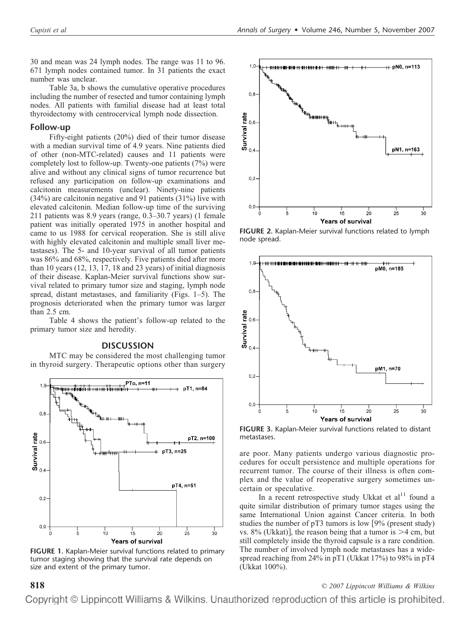30 and mean was 24 lymph nodes. The range was 11 to 96. 671 lymph nodes contained tumor. In 31 patients the exact number was unclear.

Table 3a, b shows the cumulative operative procedures including the number of resected and tumor containing lymph nodes. All patients with familial disease had at least total thyroidectomy with centrocervical lymph node dissection.

#### **Follow-up**

Fifty-eight patients (20%) died of their tumor disease with a median survival time of 4.9 years. Nine patients died of other (non-MTC-related) causes and 11 patients were completely lost to follow-up. Twenty-one patients (7%) were alive and without any clinical signs of tumor recurrence but refused any participation on follow-up examinations and calcitonin measurements (unclear). Ninety-nine patients (34%) are calcitonin negative and 91 patients (31%) live with elevated calcitonin. Median follow-up time of the surviving 211 patients was 8.9 years (range, 0.3–30.7 years) (1 female patient was initially operated 1975 in another hospital and came to us 1988 for cervical reoperation. She is still alive with highly elevated calcitonin and multiple small liver metastases). The 5- and 10-year survival of all tumor patients was 86% and 68%, respectively. Five patients died after more than 10 years (12, 13, 17, 18 and 23 years) of initial diagnosis of their disease. Kaplan-Meier survival functions show survival related to primary tumor size and staging, lymph node spread, distant metastases, and familiarity (Figs. 1–5). The prognosis deteriorated when the primary tumor was larger than 2.5 cm.

Table 4 shows the patient's follow-up related to the primary tumor size and heredity.

#### **DISCUSSION**

MTC may be considered the most challenging tumor in thyroid surgery. Therapeutic options other than surgery



**FIGURE 1.** Kaplan-Meier survival functions related to primary tumor staging showing that the survival rate depends on size and extent of the primary tumor.



**FIGURE 2.** Kaplan-Meier survival functions related to lymph node spread.



**FIGURE 3.** Kaplan-Meier survival functions related to distant metastases.

are poor. Many patients undergo various diagnostic procedures for occult persistence and multiple operations for recurrent tumor. The course of their illness is often complex and the value of reoperative surgery sometimes uncertain or speculative.

In a recent retrospective study Ukkat et  $al<sup>11</sup>$  found a quite similar distribution of primary tumor stages using the same International Union against Cancer criteria. In both studies the number of  $pT3$  tumors is low [9% (present study) vs. 8% (Ukkat)], the reason being that a tumor is  $>4$  cm, but still completely inside the thyroid capsule is a rare condition. The number of involved lymph node metastases has a widespread reaching from 24% in pT1 (Ukkat 17%) to 98% in pT4 (Ukkat 100%).

**818** *© 2007 Lippincott Williams & Wilkins*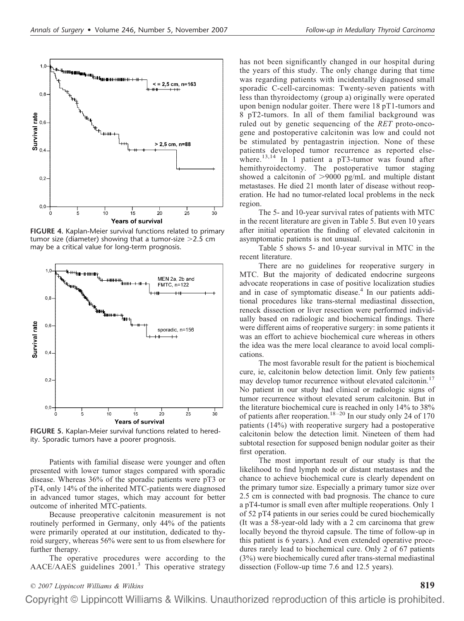

**FIGURE 4.** Kaplan-Meier survival functions related to primary tumor size (diameter) showing that a tumor-size  $>2.5$  cm may be a critical value for long-term prognosis.



**FIGURE 5.** Kaplan-Meier survival functions related to heredity. Sporadic tumors have a poorer prognosis.

Patients with familial disease were younger and often presented with lower tumor stages compared with sporadic disease. Whereas 36% of the sporadic patients were pT3 or pT4, only 14% of the inherited MTC-patients were diagnosed in advanced tumor stages, which may account for better outcome of inherited MTC-patients.

Because preoperative calcitonin measurement is not routinely performed in Germany, only 44% of the patients were primarily operated at our institution, dedicated to thyroid surgery, whereas 56% were sent to us from elsewhere for further therapy.

The operative procedures were according to the AACE/AAES guidelines 2001.<sup>3</sup> This operative strategy has not been significantly changed in our hospital during the years of this study. The only change during that time was regarding patients with incidentally diagnosed small sporadic C-cell-carcinomas: Twenty-seven patients with less than thyroidectomy (group a) originally were operated upon benign nodular goiter. There were 18 pT1-tumors and 8 pT2-tumors. In all of them familial background was ruled out by genetic sequencing of the *RET* proto-oncogene and postoperative calcitonin was low and could not be stimulated by pentagastrin injection. None of these patients developed tumor recurrence as reported elsewhere.<sup>13,14</sup> In  $\hat{1}$  patient a pT3-tumor was found after hemithyroidectomy. The postoperative tumor staging showed a calcitonin of  $>9000$  pg/mL and multiple distant metastases. He died 21 month later of disease without reoperation. He had no tumor-related local problems in the neck region.

The 5- and 10-year survival rates of patients with MTC in the recent literature are given in Table 5. But even 10 years after initial operation the finding of elevated calcitonin in asymptomatic patients is not unusual.

Table 5 shows 5- and 10-year survival in MTC in the recent literature.

There are no guidelines for reoperative surgery in MTC. But the majority of dedicated endocrine surgeons advocate reoperations in case of positive localization studies and in case of symptomatic disease.<sup>4</sup> In our patients additional procedures like trans-sternal mediastinal dissection, reneck dissection or liver resection were performed individually based on radiologic and biochemical findings. There were different aims of reoperative surgery: in some patients it was an effort to achieve biochemical cure whereas in others the idea was the mere local clearance to avoid local complications.

The most favorable result for the patient is biochemical cure, ie, calcitonin below detection limit. Only few patients may develop tumor recurrence without elevated calcitonin.<sup>17</sup> No patient in our study had clinical or radiologic signs of tumor recurrence without elevated serum calcitonin. But in the literature biochemical cure is reached in only 14% to 38% of patients after reoperation.<sup>18-20</sup> In our study only 24 of 170 patients (14%) with reoperative surgery had a postoperative calcitonin below the detection limit. Nineteen of them had subtotal resection for supposed benign nodular goiter as their first operation.

The most important result of our study is that the likelihood to find lymph node or distant metastases and the chance to achieve biochemical cure is clearly dependent on the primary tumor size. Especially a primary tumor size over 2.5 cm is connected with bad prognosis. The chance to cure a pT4-tumor is small even after multiple reoperations. Only 1 of 52 pT4 patients in our series could be cured biochemically (It was a 58-year-old lady with a 2 cm carcinoma that grew locally beyond the thyroid capsule. The time of follow-up in this patient is 6 years.). And even extended operative procedures rarely lead to biochemical cure. Only 2 of 67 patients (3%) were biochemically cured after trans-sternal mediastinal dissection (Follow-up time 7.6 and 12.5 years).

# *© 2007 Lippincott Williams & Wilkins* **819**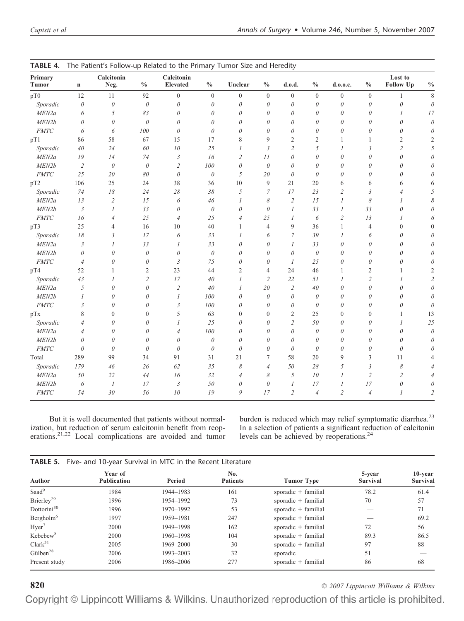| Primary<br><b>Tumor</b>      | $\mathbf n$           | Calcitonin<br>Neg. | $\frac{0}{0}$  | Calcitonin<br>Elevated | $\frac{0}{0}$    | Unclear               | $\frac{0}{0}$              | d.o.d.           | $\frac{0}{0}$  | d.0.0.c.         | $\frac{0}{0}$    | Lost to<br><b>Follow Up</b> | $\frac{0}{0}$  |
|------------------------------|-----------------------|--------------------|----------------|------------------------|------------------|-----------------------|----------------------------|------------------|----------------|------------------|------------------|-----------------------------|----------------|
|                              |                       |                    |                |                        |                  |                       |                            |                  |                |                  |                  |                             | 8              |
| pT0                          | 12                    | 11                 | 92             | $\boldsymbol{0}$       | $\boldsymbol{0}$ | $\boldsymbol{0}$      | $\boldsymbol{0}$           | $\boldsymbol{0}$ | $\mathbf{0}$   | $\boldsymbol{0}$ | $\boldsymbol{0}$ | $\mathbf{1}$                |                |
| Sporadic                     | $\boldsymbol{\theta}$ | $\theta$           | $\theta$       | $\boldsymbol{\theta}$  | $\theta$         | $\theta$              | $\theta$                   | $\theta$         | $\theta$       | $\theta$         | $\theta$         | $\boldsymbol{\theta}$       | $\theta$       |
| MEN2a                        | 6                     | 5                  | 83             | $\theta$               | $\theta$         | 0                     | $\theta$                   | $\theta$         | $\theta$       | $\theta$         | $\theta$         | 1                           | $17$           |
| MEN2b                        | 0                     | $\theta$           | $\theta$       | $\theta$               | $\theta$         | 0                     | $\theta$                   | $\theta$         | 0              | $\theta$         | $\theta$         | $\theta$                    | $\theta$       |
| <b>FMTC</b>                  | 6                     | 6                  | 100            | $\theta$               | $\theta$         | 0                     | 0                          | $\theta$         | 0              | $\theta$         | $\theta$         | $\theta$                    |                |
| pT1                          | 86                    | 58                 | 67             | 15                     | 17               | 8                     | 9                          | 2                | 2              | 1                | 1                | 2                           | 2              |
| Sporadic                     | 40                    | 24                 | 60             | 10                     | 25               | $\mathcal{I}$         | $\mathfrak{Z}$             | $\overline{c}$   | 5              | $\overline{I}$   | 3                | $\overline{c}$              |                |
| MEN2a                        | 19                    | 14                 | 74             | $\mathfrak{Z}$         | 16               | $\overline{2}$        | 11                         | $\theta$         | $\theta$       | $\theta$         | $\theta$         | $\theta$                    |                |
| MEN2b                        | $\overline{2}$        | $\theta$           | $\theta$       | $\overline{2}$         | 100              | $\theta$              | $\theta$                   | $\theta$         | $\theta$       | $\theta$         | $\theta$         | 0                           |                |
| <b>FMTC</b>                  | 25                    | 20                 | 80             | $\theta$               | $\theta$         | 5                     | 20                         | $\theta$         | $\theta$       | $\theta$         | $\theta$         | 0                           |                |
| pT2                          | 106                   | 25                 | 24             | 38                     | 36               | 10                    | 9                          | 21               | 20             | 6                | 6                | 6                           |                |
| Sporadic                     | 74                    | $18\,$             | 24             | 28                     | 38               | 5                     | 7                          | 17               | 23             | $\overline{c}$   | 3                | 4                           |                |
| MEN2a                        | 13                    | $\overline{2}$     | 15             | 6                      | 46               | 1                     | $\boldsymbol{\mathcal{S}}$ | $\overline{2}$   | 15             | $\cal I$         | 8                | $\prime$                    |                |
| MEN2b                        | $\mathfrak{Z}$        | $\mathcal{I}$      | 33             | $\theta$               | $\theta$         | $\boldsymbol{\theta}$ | $\theta$                   | $\boldsymbol{l}$ | 33             | 1                | 33               | $\theta$                    |                |
| $\ensuremath{\mathit{FMTC}}$ | 16                    | $\overline{4}$     | 25             | $\overline{4}$         | 25               | $\overline{4}$        | 25                         | 1                | 6              | $\mathfrak{2}$   | 13               |                             |                |
| pT3                          | 25                    | $\overline{4}$     | 16             | 10                     | 40               | 1                     | 4                          | 9                | 36             | 1                | $\overline{4}$   | $\mathbf{0}$                |                |
| Sporadic                     | 18                    | $\mathfrak{Z}$     | 17             | 6                      | 33               | $\overline{I}$        | 6                          | 7                | 39             | 1                | 6                | $\theta$                    |                |
| MEN2a                        | 3                     | 1                  | 33             | $\mathcal{I}$          | 33               | $\theta$              | $\theta$                   | $\boldsymbol{l}$ | 33             | $\theta$         | $\theta$         | $\theta$                    |                |
| MEN2b                        | $\theta$              | $\theta$           | $\theta$       | $\theta$               | $\theta$         | $\theta$              | $\theta$                   | $\theta$         | $\theta$       | $\theta$         | $\theta$         | $\theta$                    |                |
| $\ensuremath{\mathit{FMTC}}$ | $\overline{4}$        | $\theta$           | $\theta$       | $\mathfrak{Z}$         | 75               | $\theta$              | $\theta$                   | $\boldsymbol{l}$ | 25             | $\theta$         | $\theta$         | $\theta$                    |                |
| pT4                          | 52                    | 1                  | $\overline{2}$ | 23                     | 44               | 2                     | $\overline{4}$             | 24               | 46             | 1                | $\mathfrak{2}$   | 1                           |                |
| Sporadic                     | 43                    | 1                  | $\overline{2}$ | 17                     | 40               | 1                     | $\overline{2}$             | 22               | 51             | 1                | $\mathfrak{2}$   | 1                           |                |
| MEN2a                        | 5                     | $\theta$           | $\theta$       | $\sqrt{2}$             | 40               | 1                     | 20                         | $\tilde{z}$      | 40             | $\theta$         | $\theta$         | $\theta$                    |                |
| MEN2b                        | 1                     | $\theta$           | $\theta$       | $\boldsymbol{l}$       | 100              | $\theta$              | $\theta$                   | $\theta$         | $\theta$       | $\theta$         | $\theta$         | $\theta$                    |                |
| $\ensuremath{\mathit{FMTC}}$ | 3                     | $\theta$           | $\theta$       | $\mathfrak{Z}$         | 100              | $\theta$              | $\theta$                   | $\theta$         | $\theta$       | $\theta$         | $\theta$         | $\theta$                    | $\theta$       |
| pTx                          | 8                     | $\mathbf{0}$       | $\mathbf{0}$   | 5                      | 63               | $\mathbf{0}$          | $\boldsymbol{0}$           | 2                | 25             | $\mathbf{0}$     | $\mathbf{0}$     | 1                           | 13             |
| Sporadic                     | 4                     | $\theta$           | $\theta$       | 1                      | 25               | 0                     | 0                          | $\overline{c}$   | 50             | $\theta$         | 0                | 1                           | 25             |
| MEN2a                        | $\overline{4}$        | $\theta$           | $\theta$       | $\overline{4}$         | 100              | $\theta$              | $\theta$                   | $\theta$         | $\theta$       | $\theta$         | $\theta$         | $\theta$                    | $\theta$       |
| MEN2b                        | $\theta$              | $\theta$           | $\theta$       | $\theta$               | $\theta$         | $\theta$              | $\theta$                   | $\theta$         | $\theta$       | $\theta$         | $\theta$         | $\theta$                    |                |
| <b>FMTC</b>                  | $\theta$              | $\theta$           | $\theta$       | $\theta$               | $\theta$         | $\theta$              | $\theta$                   | $\theta$         | $\theta$       | $\theta$         | $\theta$         | $\theta$                    |                |
| Total                        | 289                   | 99                 | 34             | 91                     | 31               | 21                    | 7                          | 58               | 20             | 9                | 3                | 11                          |                |
| Sporadic                     | 179                   | 46                 | 26             | 62                     | 35               | 8                     | $\overline{4}$             | 50               | 28             | 5                | $\mathfrak{Z}$   | 8                           |                |
| MEN2a                        | 50                    | 22                 | 44             | 16                     | 32               | $\overline{4}$        | 8                          | 5                | 10             | $\boldsymbol{l}$ | $\mathfrak{2}$   | 2                           |                |
| MEN2b                        | 6                     | $\boldsymbol{l}$   | 17             | $\mathfrak{Z}$         | 50               | $\theta$              | $\theta$                   | 1                | 17             | 1                | 17               | $\boldsymbol{\theta}$       |                |
| $\ensuremath{\mathit{FMTC}}$ | 54                    | 30                 | 56             | 10                     | 19               | 9                     | 17                         | $\overline{2}$   | $\overline{4}$ | $\overline{2}$   | $\overline{4}$   | 1                           | $\overline{2}$ |
|                              |                       |                    |                |                        |                  |                       |                            |                  |                |                  |                  |                             |                |

| TABLE 4. The Patient's Follow-up Related to the Primary Tumor Size and Heredity |
|---------------------------------------------------------------------------------|
|---------------------------------------------------------------------------------|

But it is well documented that patients without normalization, but reduction of serum calcitonin benefit from reoperations.<sup>21,22</sup> Local complications are avoided and tumor burden is reduced which may relief symptomatic diarrhea.<sup>23</sup> In a selection of patients a significant reduction of calcitonin levels can be achieved by reoperations.<sup>24</sup>

|                         | <b>TABLE 5.</b> Five- and 10-year Survival in MTC in the Recent Literature |           |                        |                       |                           |                     |
|-------------------------|----------------------------------------------------------------------------|-----------|------------------------|-----------------------|---------------------------|---------------------|
| Author                  | Year of<br><b>Publication</b>                                              | Period    | No.<br><b>Patients</b> | <b>Tumor Type</b>     | 5-year<br><b>Survival</b> | 10-year<br>Survival |
| Saad <sup>9</sup>       | 1984                                                                       | 1944-1983 | 161                    | sporadic $+$ familial | 78.2                      | 61.4                |
| Brierley <sup>29</sup>  | 1996                                                                       | 1954-1992 | 73                     | sporadic $+$ familial | 70                        | 57                  |
| Dottorini <sup>30</sup> | 1996                                                                       | 1970-1992 | 53                     | sporadic $+$ familial |                           | 71                  |
| Bergholm <sup>6</sup>   | 1997                                                                       | 1959-1981 | 247                    | sporadic $+$ familial |                           | 69.2                |
| Hyer <sup>7</sup>       | 2000                                                                       | 1949-1998 | 162                    | sporadic $+$ familial | 72                        | 56                  |
| Kebebew <sup>8</sup>    | 2000                                                                       | 1960-1998 | 104                    | sporadic $+$ familial | 89.3                      | 86.5                |
| Clark <sup>31</sup>     | 2005                                                                       | 1969-2000 | 30                     | sporadic $+$ familial | 97                        | 88                  |
| Gülben <sup>28</sup>    | 2006                                                                       | 1993-2003 | 32                     | sporadic              | 51                        |                     |
| Present study           | 2006                                                                       | 1986-2006 | 277                    | sporadic $+$ familial | 86                        | 68                  |

**820** *© 2007 Lippincott Williams & Wilkins*